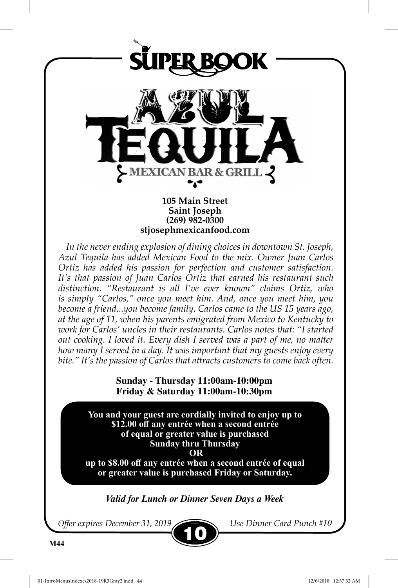

10

*Offer expires December 31, 2019 Use Dinner Card Punch #10*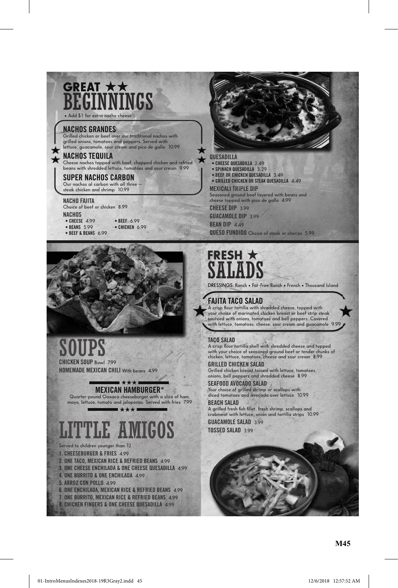## GREAT \*\* Beginnings

**• Add \$1 for extra nacho cheese**

### **nachoS GrandeS**

**grilled chicken or beef over our traditional nachos with grilled onions, tomatoes and peppers. served with lettuce, guacamole, sour cream and pico de gallo 10.99**

### **nachoS tequila**

**Cheese nachos topped with beef, chopped chicken and refried beans with shredded lettuce, tomatoes and sour cream 9.99**

### **Super nachoS carBon**

Our nachos al carbon with all the **steak chicken and shrimp 10.99**

### **nacho Fajita**

**Choice of beef or chicken 8.99 nachoS • Cheese 4.99 • Beef 6.99 • Beef & Beans 6.99**

 **• Beans 5.99 • ChiCken 6.99**



soups **chicken Soup Bowl 7.99**

**homemade mexican chili With beans 4.99**

**mexican hamBurGer\***  $H$ 

**Quarter-pound Oaxaca cheeseburger with a slice of ham, mayo, lettuce, tomato and jalapenos. served with fries 7.99**  $H$ 

TLE AMIGOS

- **served to children younger than 12 1. CheeseBurGer & fries 4.99**
- 
- **2. one taCo, MexiCan riCe & refried Beans 4.99**
- **3. one Cheese enChilada & one Cheese Quesadilla 4.99 4. one Burrito & one enChilada 4.99**
- **5. arroz con pollo 4.99**
- 
- **6. one enChilada, MexiCan riCe & refried Beans 4.99 7. one Burrito, MexiCan riCe & refried Beans 4.99**
- **8. ChiCken finGers & one Cheese Quesadilla 4.99**



 **• Cheese Quesadilla 2.49 • spinaCh Quesadilla 3.29**

 **• Beef or ChiCken Quesadilla 3.49**

 **• Grilled ChiCken or steak Quesadilla 4.49**

**mexicali triple dip**

**seasoned ground beef layered with beans and cheese topped with pico de gallo 4.99**

**cheeSe dip 3.99**

**Guacamole dip 3.99 BEAN DIP** 4.49

**queSo Fundido Choice of steak or chorizo 5.99**



### **Fajita taco Salad**

**A crisp flour tortilla with shredded cheese, topped with your choice of marinated chicken breast or beef strip steak sautéed with onions, tomatoes and bell peppers. Covered with lettuce, tomatoes, cheese, sour cream and guacamole 9.99**

### **taco Salad**

**A crisp flour tortilla shell with shredded cheese and topped with your choice of seasoned ground beef or tender chunks of chicken, lettuce, tomatoes, cheese and sour cream 8.99 Grilled chicken Salad**

**grilled chicken breast tossed with lettuce, tomatoes, onions, bell peppers and shredded cheese 8.99**

**SeaFood avocado Salad Your choice of grilled shrimp or scallops with diced tomatoes and avocado over lettuce 10.99**

**Beach Salad A grilled fresh fish fillet, fresh shrimp, scallops and crabmeat with lettuce, onion and tortilla strips 10.99**

**Guacamole Salad 3.99 toSSed Salad 3.99**

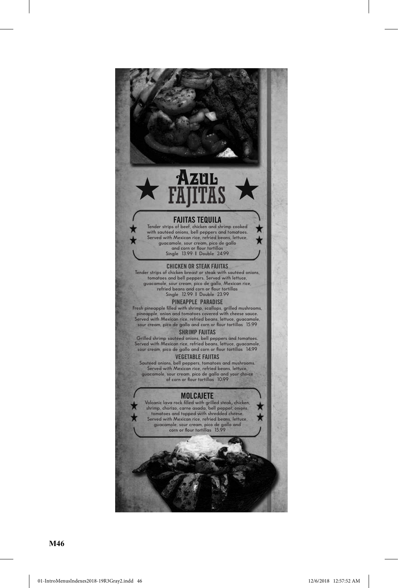★  $\star$ 

×  $\star$ 

### **FajitaS tequila**

Azul

**Tender strips of beef, chicken and shrimp cooked with sautéed onions, bell peppers and tomatoes. served with Mexican rice, refried beans, lettuce, guacamole, sour cream, pico de gallo and corn or flour tortillas single 13.99 l Double 24.99**

### **chicken or Steak FajitaS**

**Tender strips of chicken breast or steak with sautéed onions, tomatoes and bell peppers. served with lettuce, guacamole, sour cream, pico de gallo, Mexican rice, refried beans and corn or flour tortillas single 12.99 l Double 23.99**

### **pineapple paradiSe**

**Fresh pineapple filled with shrimp, scallops, grilled mushrooms, pineapple, onion and tomatoes covered with cheese sauce. served with Mexican rice, refried beans, lettuce, guacamole, sour cream, pico de gallo and corn or flour tortillas 15.99**

### **Shrimp FajitaS**

**grilled shrimp sautéed onions, bell peppers and tomatoes. served with Mexican rice, refried beans, lettuce, guacamole, sour cream, pico de gallo and corn or flour tortillas 14.99**

### **veGetaBle FajitaS**

**sautéed onions, bell peppers, tomatoes and mushrooms. served with Mexican rice, refried beans, lettuce, guacamole, sour cream, pico de gallo and your choice of corn or flour tortillas 10.99**

### **molcajete**

Volcanic lava rock filled with grilled steak, chicken,<br>shrimp, chorizo, carne asada, bell pepper, onions,<br>tomatoes and topped with shredded cheese.<br>Served with Mexican rice, refried beans, lettuce, **guacamole, sour cream, pico de gallo and corn or flour tortillas 15.99**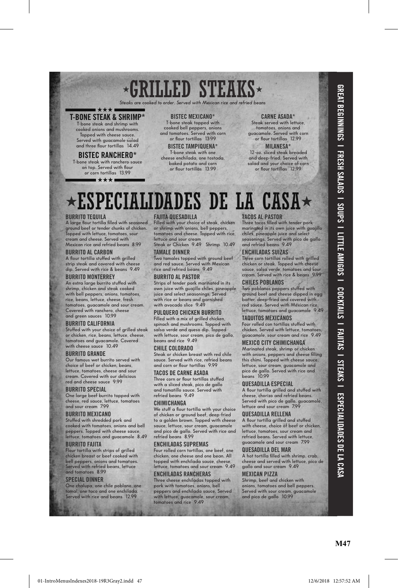# $\times$ GRILLED STEAKS $\times$

*Steaks are comported to the served stranger.* 

### **t-Bone steak & shriMp\* H**

**T-bone steak and shrimp with cooked onions and mushrooms. Topped with cheese sauce. served with guacamole salad and three flour tortillas 14.49**

### **BiStec ranchero\***

**T-bone steak with ranchero sauce on top. served with flour or corn tortillas 13.99**

■★★★■

### **BiStec mexicano\***

**T-bone steak topped with cooked bell peppers, onions and tomatoes. served with corn or flour tortillas 13.99**

**BiStec tampiquena\* T-bone steak with one cheese enchilada, one tostada, baked potato and corn or flour tortillas 13.99**

### **carne aSada\***

**steak served with lettuce, tomatoes, onions and guacamole. served with corn or flour tortillas 12.99**

**milaneSa\* 12-oz. sliced steak breaded and deep-fried. served with salad and your choice of corn or flour tortillas 12.99**

# $\star$ ESPECIALIDADES DE LA CASA $\star$

### **Burrito tequila**

**A large flour tortilla filled with seasoned ground beef or tender chunks of chicken. Topped with lettuce, tomatoes, sour cream and cheese. served with Mexican rice and refried beans 8.99**

### **Burrito al carBon**

**A flour tortilla stuffed with grilled strip steak and covered with cheese dip. served with rice & beans 9.49**

### **Burrito monterrey**

**An extra large burrito stuffed with shrimp, chicken and steak cooked with bell peppers, onions, tomatoes, rice, beans, lettuce, cheese, fresh tomatoes, guacamole and sour cream. Covered with ranchero, cheese and green sauces 10.99**

### **Burrito caliFornia**

**stuffed with your choice of grilled steak or chicken, rice, beans, lettuce, cheese, tomatoes and guacamole. Covered with cheese sauce 10.49**

### **Burrito Grande**

**Our famous wet burrito served with choice of beef or chicken, beans, lettuce, tomatoes, cheese and sour cream. Covered with our delicious red and cheese sauce 9.99**

### **Burrito Special**

**One large beef burrito topped with cheese, red sauce, lettuce, tomatoes and sour cream 7.99**

### **Burrito mexicano**

**stuffed with shredded pork and cooked with tomatoes, onions and bell peppers. Topped with cheese sauce, lettuce, tomatoes and guacamole 8.49**

### **Burrito Fajita**

**Flour tortilla with strips of grilled chicken breast or beef cooked with bell peppers, onions and tomatoes. served with refried beans, lettuce and tomatoes 8.99**

### **Special dinner**

**One chalupa, one chile poblano, one tamal, one taco and one enchilada. served with rice and beans 12.99**

### **Fajita queSadilla**

**Filled with your choice of steak, chicken or shrimp with onions, bell peppers, tomatoes and cheese. Topped with rice,**  lettuce and sour cre

**steak or Chicken 9.49 shrimp 10.49 tamale dinner**

**Two tamales topped with ground beef and red sauce. served with Mexican rice and refried beans 9.49**

### **Burrito al paStor**

**strips of tender pork marinated in its own juice with guajillo chiles, pineapple juice and select seasonings. served with rice or beans and garnished with avocado slice 9.49**

### **pulquero chicken Burrito**

**Filled with a mix of grilled chicken, spinach and mushrooms. Topped with salsa verde and queso dip. Topped with lettuce, sour cream, pico de gallo, beans and rice 9.49**

### **chile colorado**

**steak or chicken breast with red chile sauce. served with rice, refried beans and corn or flour tortillas 9.99**

### **tacoS de carne aSada**

**Three corn or flour tortillas stuffed with a sliced steak, pico de gallo and tomatillo sauce. served with refried beans 9.49**

### **chimichanGa**

**We stuff a flour tortilla with your choice of chicken or ground beef, deep-fried to a golden brown. Topped with cheese sauce, lettuce, sour cream, guacamole and pico de gallo. served with rice and refried beans 8.99**

### **enchiladaS SupremaS**

**Four rolled corn tortillas, one beef, one chicken, one cheese and one bean. All topped with enchilada sauce, cheese, lettuce, tomatoes and sour cream 9.49**

### **enchiladaS rancheraS**

**Three cheese enchiladas topped with pork with tomatoes, onions, bell peppers and enchilada sauce. served with lettuce, guacamole, sour cream, tomatoes and rice 9.49**

### **TACOS AL PASTOR**

**Three tacos filled with tender pork marinated in its own juice with guajillo chiles, pineapple juice and select seasonings. served with pico de gallo and refried beans 9.49**

### **enchiladaS SuizaS**

**Three corn tortillas rolled with grilled chicken or steak. Topped with cheese sauce, salsa verde, tomatoes and sour cream. served with rice & beans 9.99 chileS poBlanoS**

**Two poblanos peppers stuffed with ground beef and cheese dipped in egg batter, deep-fried and covered with**  red sauce. Served with Mexican rice **lettuce, tomatoes and guacamole 9.49 taquitoS mexicanoS**

**Four rolled con tortillas stuffed with**  chicken. Served with lettuce, tomato **guacamole, sour cream and rice 9.49**

### **mexico city chimichanGa**

**Marinated steak, shrimp or chicken with onions, peppers and cheese filling this chimi. Topped with cheese sauce, lettuce, sour cream, guacamole and pico de gallo. served with rice and beans 10.99**

### **queSadilla eSpecial**

**A flour tortilla grilled and stuffed with cheese, chorizo and refried beans. served with pico de gallo, guacamole, lettuce and sour cream 7.99**

### **queSadilla rellena**

**A flour tortilla grilled and stuffed with cheese, choice of beef or chicken, lettuce, tomatoes, sour cream and refried beans. served with lettuce, guacamole and sour cream 7.99**

### **queSadilla del mar**

**A hot tortilla filled with shrimp, crab, cheese and served with lettuce, pico de gallo and sour cream 9.49**

### **mexican pizza**

**shrimp, beef and chicken with onions, tomatoes and bell peppers. served with sour cream, guacamole and pico de gallo 10.99**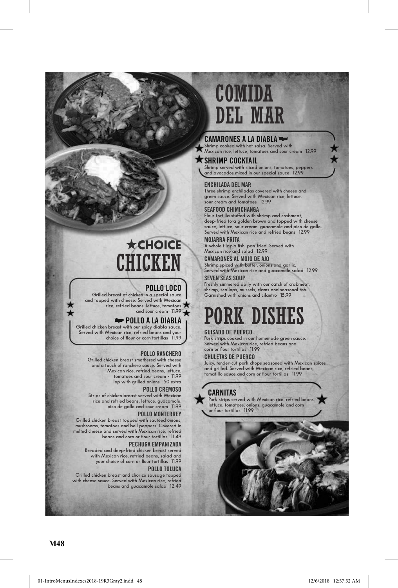### **camaroneS a la diaBla shrimp cooked with hot salsa. served with Mexican rice, lettuce, tomatoes and sour cream 12.99 SHRIMP COCKTAIL**

**shrimp served with sliced onions, tomatoes, peppers and avocados mixed in our special sauce 12.99**

Comida

deL mar

### **enchilada del mar**

**Three shrimp enchiladas covered with cheese and green sauce. served with Mexican rice, lettuce, sour cream and tomatoes 12.99**

### **SeaFood chimichanGa**

**Flour tortilla stuffed with shrimp and crabmeat, deep-fried to a golden brown and topped with cheese sauce, lettuce, sour cream, guacamole and pico de gallo. served with Mexican rice and refried beans 12.99**

### **mojarra Frita**

**A whole tilapia fish, pan-fried. served with Mexican rice and salad 12.99**

### **camaroneS al mojo de ajo**

**shrimp spiced with butter, onions and garlic. served with Mexican rice and guacamole salad 12.99 Seven SeaS Soup**

**Freshly simmered daily with our catch of crabmeat, shrimp, scallops, mussels, clams and seasonal fish. garnished with onions and cilantro 15.99**

# pork disHes

### **GuiSado de puerco**

**Pork strips cooked in our homemade green sauce. served with Mexican rice, refried beans and corn or flour tortillas 11.99**

### **chuletaS de puerco**

**Juicy, tender-cut pork chops seasoned with Mexican spices and grilled. served with Mexican rice, refried beans, tomatillo sauce and corn or flour tortillas 11.99**

### **carnitaS**

 **Pork strips served with Mexican rice, refried beans, lettuce, tomatoes, onions, guacamole and corn or flour tortillas 11.99**



## H**choice CHICKEN**

### **pollo loco**

**grilled breast of chicken in a special sauce and topped with cheese. served with Mexican rice, refried beans, lettuce, tomatoes**  and sour cream 11.99

### **pollo a la diaBla**

**grilled chicken breast with our spicy diabla sauce. served with Mexican rice, refried beans and your choice of flour or corn tortillas 11.99**

### **pollo ranchero**

**grilled chicken breast smothered with cheese and a touch of ranchero sauce. served with Mexican rice, refried beans, lettuce, tomatoes and sour cream - 11.99 Top with grilled onions .50 extra**

### **pollo cremoSo**

**strips of chicken breast served with Mexican rice and refried beans, lettuce, guacamole, pico de gallo and sour cream 11.99**

### **pollo monterrey**

**grilled chicken breast topped with sautéed onions, mushrooms, tomatoes and bell peppers. Covered in melted cheese and served with Mexican rice, refried beans and corn or flour tortillas 11.49**

### **pechuGa empanizada**

**Breaded and deep-fried chicken breast served with Mexican rice, refried beans, salad and your choice of corn or flour tortillas 11.99 pollo toluca**

### **grilled chicken breast and chorizo sausage topped with cheese sauce. served with Mexican rice, refried beans and guacamole salad 12.49**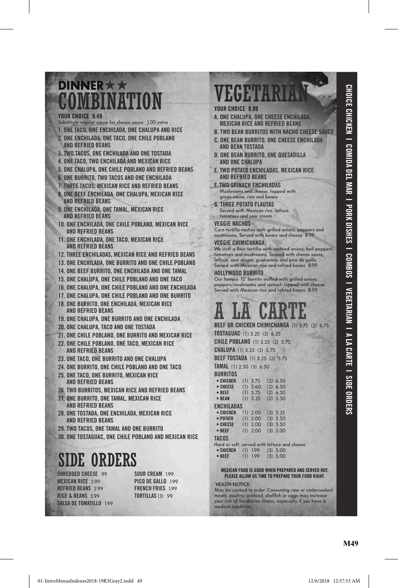### DINNER **COMBINATION**

### **your choice 9.49**

- **substitute regular sauce for cheese sauce 1.00 extra**
- **1. one taco, one enchilada, one chalupa and rice 2. one enchilada, one taco, one chile poBlano**
- **and reFried BeanS**
- **3. two tacoS, one enchilada and one toStada**
- **4. one taco, two enchilada and mexican rice**
- **5. one chalupa, one chile poBlano and reFried BeanS**
- **6. one Burrito, two tacoS and one enchilada**
- **7. three tacoS, mexican rice and reFried BeanS**
- **8. one BeeF enchilada, one chalupa, mexican rice and reFried BeanS**
- **9. one enchilada, one tamal, mexican rice and reFried BeanS**
- **10. one enchilada, one chile poBlano, mexican rice and reFried BeanS**
- **11. one enchilada, one taco, mexican rice and reFried BeanS**
- **12. three enchiladaS, mexican rice and reFried BeanS**
- **13. one enchilada, one Burrito and one chile poBlano**
- **14. one BeeF Burrito, one enchilada and one tamal**
- **15. one chalupa, one chile poBlano and one taco**
- **16. one chalupa, one chile poBlano and one enchilada**
- **17. one chalupa, one chile poBlano and one Burrito**
- **18. one Burrito, one enchilada, mexican rice and reFried BeanS**
- **19. one chalupa, one Burrito and one enchilada**
- **20. one chalupa, taco and one toStada**
- **21. one chile poBlano, one Burrito and mexican rice**
- **22. one chile poBlano, one taco, mexican rice and reFried BeanS**
- **23. one taco, one Burrito and one chalupa**
- **24. one Burrito, one chile poBlano and one taco**
- **25. one taco, one Burrito, mexican rice and reFried BeanS**
- **26. two BurritoS, mexican rice and reFried BeanS**
- **27. one Burrito, one tamal, mexican rice and reFried BeanS**
- **28. one toStada, one enchilada, mexican rice and reFried BeanS**
- **29. two tacoS, one tamal and one Burrito**
- **30. one toStaGuac, one chile poBlano and mexican rice**

## side orders

SHREDDED CHEESE 99 **MEXICAN RICE** 2.99 **reFried BeanS 2.99 riCe & Beans 3.99 SalSa de tomatillo 1.99** **SOUR CREAM** 199 **pico de Gallo 1.99 French FrieS 1.99 tortillaS (3) .99**

### vegetarian **your choice 8.99**

- **a. one chalupa, one cheeSe enchilada, mexican rice and reFried BeanS**
- **B. two Bean BurritoS with nacho cheeSe Sauce**
- **c. one Bean Burrito, one cheeSe enchilada and Bean toStada**
- **d. one Bean Burrito, one queSadilla and one chalupa**
- **e. two potato enchiladaS, mexican rice and reFried BeanS**
- **F. two Spinach enchiladaS Mushrooms and cheese, topped with green sauce, rice and beans**
- **G. three potato FlautaS Served with Mexican rice, lettuce, tomatoes and sour cream**

### **veGGie nachoS**

**Corn tortilla nachos with grilled onions, peppers and mushrooms. served with beans and cheese 8.99**

### **veGGie chimichanGa**

**We stuff a flour tortilla with sautéed onions, bell peppers, tomatoes and mushrooms. Topped with cheese sauce, lettuce, sour cream, guacamole and pico de gallo. served with Mexican rice and refried beans 8.99**

### **hollywood Burrito**

**Our famous 12" burrito stuffed with grilled onions, peppers, mushrooms and spinach topped with cheese. served with Mexican rice and refried beans 8.99**

# **A LA CARTE**<br>BEEF OR CHICKEN CHIMICHANGA (1) 3.75 (2) 6.75

**toStaGuac (1) 3.25 (2) 6.25**

**chile poBlano (1) 3.25 (2) 5.75**

**chalupa (1) 3.25 (2) 5.75**

| <b>BEEF TOSTADA</b> (1) 3.25 (2) 5.75 |  |  |
|---------------------------------------|--|--|
|---------------------------------------|--|--|

**tamal (1) 2.50 (3) 6.50 BURRITOS**<br>• CHICKEN  **• ChiCken (1) 3.75 (2) 6.50 • Cheese (1) 3.60 (2) 6.50**

| $\bullet$ BEEF    | $(1)$ 3.75 $(2)$ 6.50 |            |            |  |
|-------------------|-----------------------|------------|------------|--|
| • BEAN            | $(1)$ 3.25 $(2)$ 5.50 |            |            |  |
| <b>ENCHILADAS</b> |                       |            |            |  |
| • CHICKEN         | $(1)$ 2.00 $(3)$ 5.25 |            |            |  |
| $\bullet$ POTATO  | $(1)$ 2.00            |            | $(3)$ 5.50 |  |
| • CHEESE          | $(1)$ 2.00            | $(3)$ 5.50 |            |  |
| $\bullet$ BEEF    | $(1)$ 2.00            |            | $(3)$ 5.00 |  |
| <b>TACOS</b>      |                       |            |            |  |

**tacoS Hard or soft, served with lettuce and cheese • ChiCken (1) 1.99 (3) 5.00 • Beef (1) 1.99 (3) 5.00**

### **mexican Food iS Good when prepared and Served hot. pleaSe allow uS time to prepare your Food riGht.**

### **\*HeALTH nOTiCe:**

**May be cooked to order. Consuming raw or undercooked meats, poultry, seafood, shellfish or eggs may increase your risk of foodborne illness, especially if you have a medical condition.**